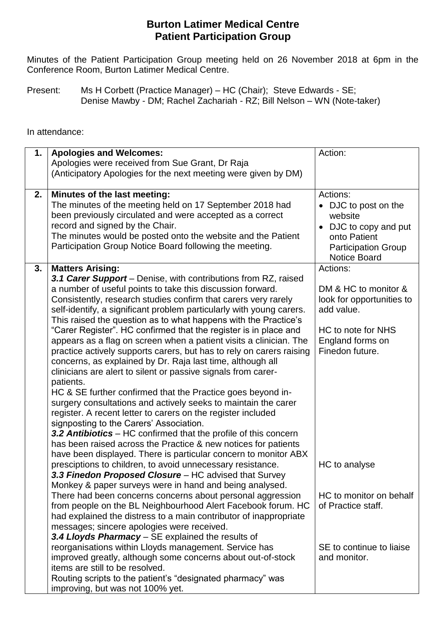## **Burton Latimer Medical Centre Patient Participation Group**

 Minutes of the Patient Participation Group meeting held on 26 November 2018 at 6pm in the Conference Room, Burton Latimer Medical Centre.

 Present: Ms H Corbett (Practice Manager) – HC (Chair); Steve Edwards - SE; Denise Mawby - DM; Rachel Zachariah - RZ; Bill Nelson – WN (Note-taker)

In attendance:

| 1. | <b>Apologies and Welcomes:</b>                                                                                        | Action:                    |
|----|-----------------------------------------------------------------------------------------------------------------------|----------------------------|
|    | Apologies were received from Sue Grant, Dr Raja                                                                       |                            |
|    | (Anticipatory Apologies for the next meeting were given by DM)                                                        |                            |
|    |                                                                                                                       |                            |
| 2. | Minutes of the last meeting:                                                                                          | Actions:                   |
|    | The minutes of the meeting held on 17 September 2018 had                                                              | • DJC to post on the       |
|    | been previously circulated and were accepted as a correct                                                             | website                    |
|    | record and signed by the Chair.                                                                                       | • DJC to copy and put      |
|    | The minutes would be posted onto the website and the Patient                                                          | onto Patient               |
|    | Participation Group Notice Board following the meeting.                                                               | <b>Participation Group</b> |
|    |                                                                                                                       | <b>Notice Board</b>        |
| 3. | <b>Matters Arising:</b>                                                                                               | Actions:                   |
|    | 3.1 Carer Support – Denise, with contributions from RZ, raised                                                        |                            |
|    | a number of useful points to take this discussion forward.                                                            | DM & HC to monitor &       |
|    | Consistently, research studies confirm that carers very rarely                                                        | look for opportunities to  |
|    | self-identify, a significant problem particularly with young carers.                                                  | add value.                 |
|    | This raised the question as to what happens with the Practice's                                                       |                            |
|    | "Carer Register". HC confirmed that the register is in place and                                                      | HC to note for NHS         |
|    | appears as a flag on screen when a patient visits a clinician. The                                                    | England forms on           |
|    | practice actively supports carers, but has to rely on carers raising                                                  | Finedon future.            |
|    | concerns, as explained by Dr. Raja last time, although all                                                            |                            |
|    | clinicians are alert to silent or passive signals from carer-                                                         |                            |
|    | patients.                                                                                                             |                            |
|    | HC & SE further confirmed that the Practice goes beyond in-                                                           |                            |
|    | surgery consultations and actively seeks to maintain the carer                                                        |                            |
|    | register. A recent letter to carers on the register included                                                          |                            |
|    | signposting to the Carers' Association.                                                                               |                            |
|    | 3.2 Antibiotics – HC confirmed that the profile of this concern                                                       |                            |
|    | has been raised across the Practice & new notices for patients                                                        |                            |
|    | have been displayed. There is particular concern to monitor ABX                                                       |                            |
|    | presciptions to children, to avoid unnecessary resistance.                                                            | HC to analyse              |
|    | 3.3 Finedon Proposed Closure - HC advised that Survey                                                                 |                            |
|    | Monkey & paper surveys were in hand and being analysed.<br>There had been concerns concerns about personal aggression | HC to monitor on behalf    |
|    | from people on the BL Neighbourhood Alert Facebook forum. HC                                                          | of Practice staff.         |
|    | had explained the distress to a main contributor of inappropriate                                                     |                            |
|    | messages; sincere apologies were received.                                                                            |                            |
|    | 3.4 Lloyds Pharmacy - SE explained the results of                                                                     |                            |
|    | reorganisations within Lloyds management. Service has                                                                 | SE to continue to liaise   |
|    | improved greatly, although some concerns about out-of-stock                                                           | and monitor.               |
|    | items are still to be resolved.                                                                                       |                            |
|    | Routing scripts to the patient's "designated pharmacy" was                                                            |                            |
|    | improving, but was not 100% yet.                                                                                      |                            |
|    |                                                                                                                       |                            |